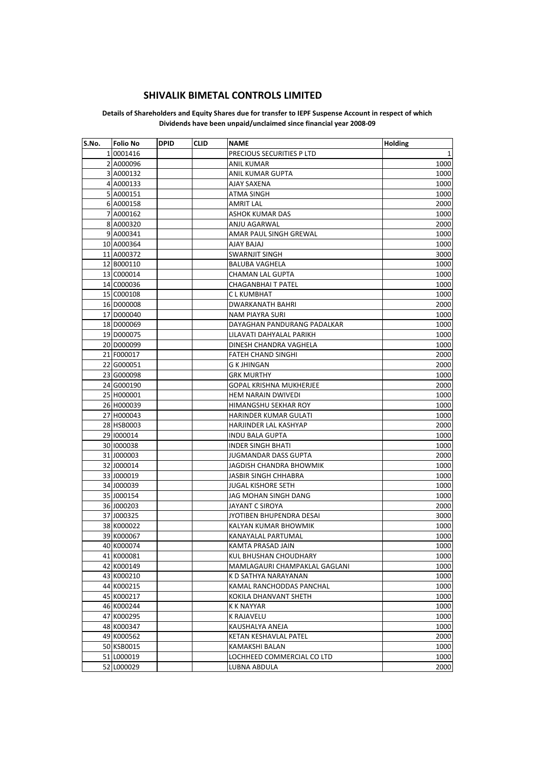## **SHIVALIK BIMETAL CONTROLS LIMITED**

## **Details of Shareholders and Equity Shares due for transfer to IEPF Suspense Account in respect of which Dividends have been unpaid/unclaimed since financial year 2008-09**

| S.No. | <b>Folio No</b> | <b>DPID</b> | <b>CLID</b> | <b>NAME</b>                    | Holding |
|-------|-----------------|-------------|-------------|--------------------------------|---------|
|       | 1 0001416       |             |             | PRECIOUS SECURITIES P LTD      | 1       |
|       | 2 A000096       |             |             | <b>ANIL KUMAR</b>              | 1000    |
|       | 3 A000132       |             |             | ANIL KUMAR GUPTA               | 1000    |
|       | 4 A000133       |             |             | AJAY SAXENA                    | 1000    |
|       | 5 A000151       |             |             | <b>ATMA SINGH</b>              | 1000    |
|       | 6 A000158       |             |             | <b>AMRIT LAL</b>               | 2000    |
|       | 7 A000162       |             |             | <b>ASHOK KUMAR DAS</b>         | 1000    |
|       | 8 A000320       |             |             | ANJU AGARWAL                   | 2000    |
|       | 9 A000341       |             |             | AMAR PAUL SINGH GREWAL         | 1000    |
|       | 10 A000364      |             |             | AJAY BAJAJ                     | 1000    |
|       | 11 A000372      |             |             | SWARNJIT SINGH                 | 3000    |
|       | 12 B000110      |             |             | <b>BALUBA VAGHELA</b>          | 1000    |
|       | 13 C000014      |             |             | CHAMAN LAL GUPTA               | 1000    |
|       | 14 C000036      |             |             | CHAGANBHAI T PATEL             | 1000    |
|       | 15 C000108      |             |             | C L KUMBHAT                    | 1000    |
|       | 16 D000008      |             |             | <b>DWARKANATH BAHRI</b>        | 2000    |
|       | 17 D000040      |             |             | <b>NAM PIAYRA SURI</b>         | 1000    |
|       | 18 D000069      |             |             | DAYAGHAN PANDURANG PADALKAR    | 1000    |
|       | 19 D000075      |             |             | LILAVATI DAHYALAL PARIKH       | 1000    |
|       | 20 D000099      |             |             | DINESH CHANDRA VAGHELA         | 1000    |
|       | 21 F000017      |             |             | <b>FATEH CHAND SINGHI</b>      | 2000    |
|       | 22 G000051      |             |             | G K JHINGAN                    | 2000    |
|       | 23 G000098      |             |             | <b>GRK MURTHY</b>              | 1000    |
|       | 24 G000190      |             |             | <b>GOPAL KRISHNA MUKHERJEE</b> | 2000    |
|       | 25 H000001      |             |             | <b>HEM NARAIN DWIVEDI</b>      | 1000    |
|       | 26 H000039      |             |             | HIMANGSHU SEKHAR ROY           | 1000    |
|       | 27 H000043      |             |             | HARINDER KUMAR GULATI          | 1000    |
|       | 28 HSB0003      |             |             | HARJINDER LAL KASHYAP          | 2000    |
|       | 29 1000014      |             |             | <b>INDU BALA GUPTA</b>         | 1000    |
|       | 30 1000038      |             |             | <b>INDER SINGH BHATI</b>       | 1000    |
|       | 31 J000003      |             |             | <b>JUGMANDAR DASS GUPTA</b>    | 2000    |
|       | 32 J000014      |             |             | JAGDISH CHANDRA BHOWMIK        | 1000    |
|       | 33 J000019      |             |             | JASBIR SINGH CHHABRA           | 1000    |
|       | 34 J000039      |             |             | <b>JUGAL KISHORE SETH</b>      | 1000    |
|       | 35 J000154      |             |             | JAG MOHAN SINGH DANG           | 1000    |
|       | 36 J000203      |             |             | JAYANT C SIROYA                | 2000    |
|       | 37 J000325      |             |             | JYOTIBEN BHUPENDRA DESAI       | 3000    |
|       | 38 K000022      |             |             | KALYAN KUMAR BHOWMIK           | 1000    |
|       | 39 K000067      |             |             | KANAYALAL PARTUMAL             | 1000    |
|       | 40 K000074      |             |             | KAMTA PRASAD JAIN              | 1000    |
|       | 41 K000081      |             |             | KUL BHUSHAN CHOUDHARY          | 1000    |
|       | 42 K000149      |             |             | MAMLAGAURI CHAMPAKLAL GAGLANI  | 1000    |
|       | 43 K000210      |             |             | K D SATHYA NARAYANAN           | 1000    |
|       | 44 K000215      |             |             | KAMAL RANCHODDAS PANCHAL       | 1000    |
|       | 45 K000217      |             |             | KOKILA DHANVANT SHETH          | 1000    |
|       | 46 K000244      |             |             | K K NAYYAR                     | 1000    |
|       | 47 K000295      |             |             | <b>K RAJAVELU</b>              | 1000    |
|       | 48 K000347      |             |             | KAUSHALYA ANEJA                | 1000    |
|       | 49 K000562      |             |             | KETAN KESHAVLAL PATEL          | 2000    |
|       | 50 KSB0015      |             |             | KAMAKSHI BALAN                 | 1000    |
|       | 51 L000019      |             |             | LOCHHEED COMMERCIAL CO LTD     | 1000    |
|       | 52 L000029      |             |             | LUBNA ABDULA                   | 2000    |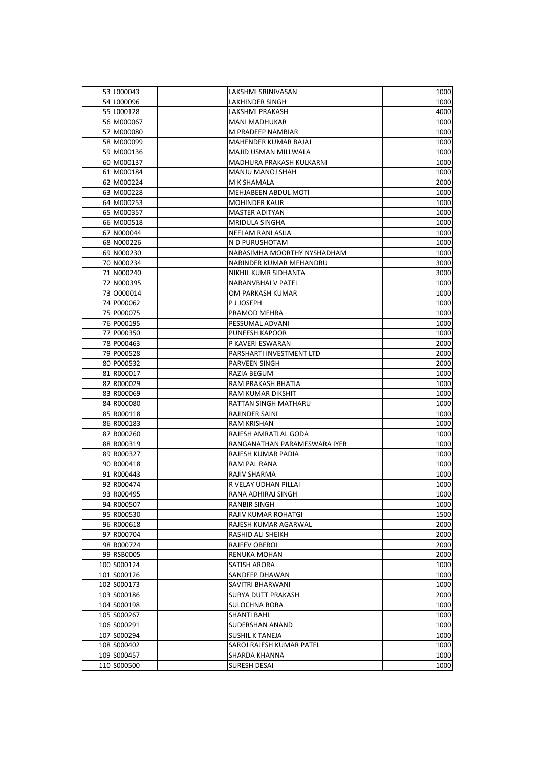| 53 L000043  | LAKSHMI SRINIVASAN                  | 1000 |
|-------------|-------------------------------------|------|
| 54 L000096  | LAKHINDER SINGH                     | 1000 |
| 55 L000128  | LAKSHMI PRAKASH                     | 4000 |
| 56 M000067  | <b>MANI MADHUKAR</b>                | 1000 |
| 57 M000080  |                                     |      |
|             | M PRADEEP NAMBIAR                   | 1000 |
| 58 M000099  | <b>MAHENDER KUMAR BAJAJ</b>         | 1000 |
| 59 M000136  | MAJID USMAN MILLWALA                | 1000 |
| 60 M000137  | MADHURA PRAKASH KULKARNI            | 1000 |
| 61 M000184  | MANJU MANOJ SHAH                    | 1000 |
| 62 M000224  | M K SHAMALA                         | 2000 |
| 63 M000228  | MEHJABEEN ABDUL MOTI                | 1000 |
| 64 M000253  | <b>MOHINDER KAUR</b>                | 1000 |
| 65 M000357  | MASTER ADITYAN                      | 1000 |
| 66 M000518  | MRIDULA SINGHA                      | 1000 |
| 67 N000044  | NEELAM RANI ASIJA                   | 1000 |
| 68 N000226  | N D PURUSHOTAM                      | 1000 |
| 69 N000230  | NARASIMHA MOORTHY NYSHADHAM         | 1000 |
| 70 N000234  | NARINDER KUMAR MEHANDRU             | 3000 |
| 71 N000240  | NIKHIL KUMR SIDHANTA                | 3000 |
| 72 N000395  | NARANVBHAI V PATEL                  | 1000 |
| 73 0000014  | OM PARKASH KUMAR                    | 1000 |
| 74 P000062  | P J JOSEPH                          | 1000 |
| 75 P000075  | PRAMOD MEHRA                        | 1000 |
| 76 P000195  | PESSUMAL ADVANI                     | 1000 |
| 77 P000350  | PUNEESH KAPOOR                      | 1000 |
| 78 P000463  | P KAVERI ESWARAN                    | 2000 |
| 79 P000528  | PARSHARTI INVESTMENT LTD            | 2000 |
| 80 P000532  | PARVEEN SINGH                       | 2000 |
| 81 R000017  | RAZIA BEGUM                         | 1000 |
| 82 R000029  | RAM PRAKASH BHATIA                  | 1000 |
| 83 R000069  | RAM KUMAR DIKSHIT                   | 1000 |
| 84 R000080  | RATTAN SINGH MATHARU                | 1000 |
| 85 R000118  | RAJINDER SAINI                      | 1000 |
| 86 R000183  | RAM KRISHAN                         | 1000 |
| 87 R000260  | RAJESH AMRATLAL GODA                | 1000 |
| 88 R000319  | RANGANATHAN PARAMESWARA IYER        | 1000 |
| 89 R000327  | RAJESH KUMAR PADIA                  | 1000 |
| 90 R000418  | RAM PAL RANA                        | 1000 |
| 91 R000443  | RAJIV SHARMA                        | 1000 |
| 92 R000474  | R VELAY UDHAN PILLAI                | 1000 |
| 93 R000495  | RANA ADHIRAJ SINGH                  | 1000 |
|             |                                     |      |
| 94 R000507  | RANBIR SINGH<br>RAJIV KUMAR ROHATGI | 1000 |
| 95 R000530  |                                     | 1500 |
| 96 R000618  | RAJESH KUMAR AGARWAL                | 2000 |
| 97 R000704  | RASHID ALI SHEIKH                   | 2000 |
| 98 R000724  | RAJEEV OBEROI                       | 2000 |
| 99 RSB0005  | RENUKA MOHAN                        | 2000 |
| 100 S000124 | SATISH ARORA                        | 1000 |
| 101 S000126 | SANDEEP DHAWAN                      | 1000 |
| 102 S000173 | SAVITRI BHARWANI                    | 1000 |
| 103 S000186 | SURYA DUTT PRAKASH                  | 2000 |
| 104 S000198 | SULOCHNA RORA                       | 1000 |
| 105 S000267 | SHANTI BAHL                         | 1000 |
| 106 S000291 | SUDERSHAN ANAND                     | 1000 |
| 107 S000294 | SUSHIL K TANEJA                     | 1000 |
| 108 S000402 | SAROJ RAJESH KUMAR PATEL            | 1000 |
| 109 S000457 | SHARDA KHANNA                       | 1000 |
| 110 S000500 | SURESH DESAI                        | 1000 |